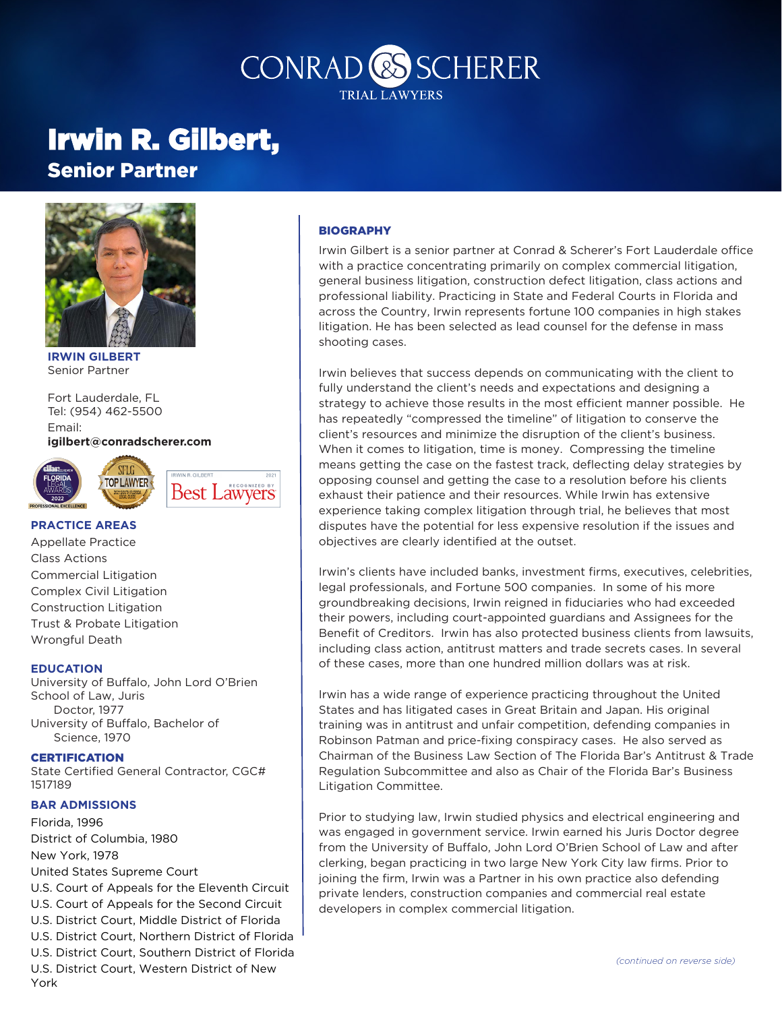## CONRAD<sup>CS</sup>SCHERER **TRIAL LAWYERS**

# Irwin R. Gilbert,

Senior Partner



**IRWIN GILBERT** Senior Partner

Fort Lauderdale, FL Tel: (954) 462-5500 Email: **igilbert@conradscherer.com**



#### **PRACTICE AREAS**

Appellate Practice Class Actions Commercial Litigation Complex Civil Litigation Construction Litigation Trust & Probate Litigation Wrongful Death

#### **EDUCATION**

University of Buffalo, John Lord O'Brien School of Law, Juris Doctor, 1977 University of Buffalo, Bachelor of Science, 1970

**CERTIFICATION** State Certified General Contractor, CGC# 1517189

#### **BAR ADMISSIONS**

Florida, 1996 District of Columbia, 1980 New York, 1978 United States Supreme Court U.S. Court of Appeals for the Eleventh Circuit U.S. Court of Appeals for the Second Circuit U.S. District Court, Middle District of Florida U.S. District Court, Northern District of Florida U.S. District Court, Southern District of Florida U.S. District Court, Western District of New York

#### **BIOGRAPHY**

Irwin Gilbert is a senior partner at Conrad & Scherer's Fort Lauderdale office with a practice concentrating primarily on complex commercial litigation, general business litigation, construction defect litigation, class actions and professional liability. Practicing in State and Federal Courts in Florida and across the Country, Irwin represents fortune 100 companies in high stakes litigation. He has been selected as lead counsel for the defense in mass shooting cases.

Irwin believes that success depends on communicating with the client to fully understand the client's needs and expectations and designing a strategy to achieve those results in the most efficient manner possible. He has repeatedly "compressed the timeline" of litigation to conserve the client's resources and minimize the disruption of the client's business. When it comes to litigation, time is money. Compressing the timeline means getting the case on the fastest track, deflecting delay strategies by opposing counsel and getting the case to a resolution before his clients exhaust their patience and their resources. While Irwin has extensive experience taking complex litigation through trial, he believes that most disputes have the potential for less expensive resolution if the issues and objectives are clearly identified at the outset.

Irwin's clients have included banks, investment firms, executives, celebrities, legal professionals, and Fortune 500 companies. In some of his more groundbreaking decisions, Irwin reigned in fiduciaries who had exceeded their powers, including court-appointed guardians and Assignees for the Benefit of Creditors. Irwin has also protected business clients from lawsuits, including class action, antitrust matters and trade secrets cases. In several of these cases, more than one hundred million dollars was at risk.

Irwin has a wide range of experience practicing throughout the United States and has litigated cases in Great Britain and Japan. His original training was in antitrust and unfair competition, defending companies in Robinson Patman and price-fixing conspiracy cases. He also served as Chairman of the Business Law Section of The Florida Bar's Antitrust & Trade Regulation Subcommittee and also as Chair of the Florida Bar's Business Litigation Committee.

Prior to studying law, Irwin studied physics and electrical engineering and was engaged in government service. Irwin earned his Juris Doctor degree from the University of Buffalo, John Lord O'Brien School of Law and after clerking, began practicing in two large New York City law firms. Prior to joining the firm, Irwin was a Partner in his own practice also defending private lenders, construction companies and commercial real estate developers in complex commercial litigation.